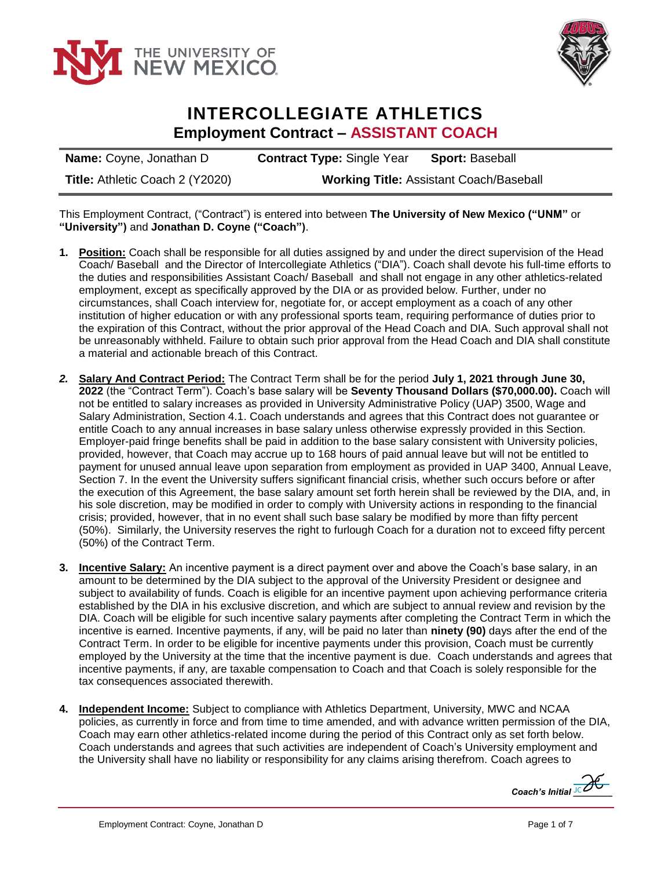



## **INTERCOLLEGIATE ATHLETICS Employment Contract – ASSISTANT COACH**

| <b>Name:</b> Coyne, Jonathan D  | <b>Contract Type: Single Year</b>              | <b>Sport: Baseball</b> |
|---------------------------------|------------------------------------------------|------------------------|
| Title: Athletic Coach 2 (Y2020) | <b>Working Title: Assistant Coach/Baseball</b> |                        |

This Employment Contract, ("Contract") is entered into between **The University of New Mexico ("UNM"** or **"University")** and **Jonathan D. Coyne ("Coach")**.

- **1. Position:** Coach shall be responsible for all duties assigned by and under the direct supervision of the Head Coach/ Baseball and the Director of Intercollegiate Athletics ("DIA"). Coach shall devote his full-time efforts to the duties and responsibilities Assistant Coach/ Baseball and shall not engage in any other athletics-related employment, except as specifically approved by the DIA or as provided below. Further, under no circumstances, shall Coach interview for, negotiate for, or accept employment as a coach of any other institution of higher education or with any professional sports team, requiring performance of duties prior to the expiration of this Contract, without the prior approval of the Head Coach and DIA. Such approval shall not be unreasonably withheld. Failure to obtain such prior approval from the Head Coach and DIA shall constitute a material and actionable breach of this Contract.
- *2.* **Salary And Contract Period:** The Contract Term shall be for the period **July 1, 2021 through June 30, 2022** (the "Contract Term"). Coach's base salary will be **Seventy Thousand Dollars (\$70,000.00).** Coach will not be entitled to salary increases as provided in University Administrative Policy (UAP) 3500, Wage and Salary Administration, Section 4.1. Coach understands and agrees that this Contract does not guarantee or entitle Coach to any annual increases in base salary unless otherwise expressly provided in this Section. Employer-paid fringe benefits shall be paid in addition to the base salary consistent with University policies, provided, however, that Coach may accrue up to 168 hours of paid annual leave but will not be entitled to payment for unused annual leave upon separation from employment as provided in UAP 3400, Annual Leave, Section 7. In the event the University suffers significant financial crisis, whether such occurs before or after the execution of this Agreement, the base salary amount set forth herein shall be reviewed by the DIA, and, in his sole discretion, may be modified in order to comply with University actions in responding to the financial crisis; provided, however, that in no event shall such base salary be modified by more than fifty percent (50%). Similarly, the University reserves the right to furlough Coach for a duration not to exceed fifty percent (50%) of the Contract Term.
- **3. Incentive Salary:** An incentive payment is a direct payment over and above the Coach's base salary, in an amount to be determined by the DIA subject to the approval of the University President or designee and subject to availability of funds. Coach is eligible for an incentive payment upon achieving performance criteria established by the DIA in his exclusive discretion, and which are subject to annual review and revision by the DIA. Coach will be eligible for such incentive salary payments after completing the Contract Term in which the incentive is earned. Incentive payments, if any, will be paid no later than **ninety (90)** days after the end of the Contract Term. In order to be eligible for incentive payments under this provision, Coach must be currently employed by the University at the time that the incentive payment is due. Coach understands and agrees that incentive payments, if any, are taxable compensation to Coach and that Coach is solely responsible for the tax consequences associated therewith.
- **4. Independent Income:** Subject to compliance with Athletics Department, University, MWC and NCAA policies, as currently in force and from time to time amended, and with advance written permission of the DIA, Coach may earn other athletics-related income during the period of this Contract only as set forth below. Coach understands and agrees that such activities are independent of Coach's University employment and the University shall have no liability or responsibility for any claims arising therefrom. Coach agrees to

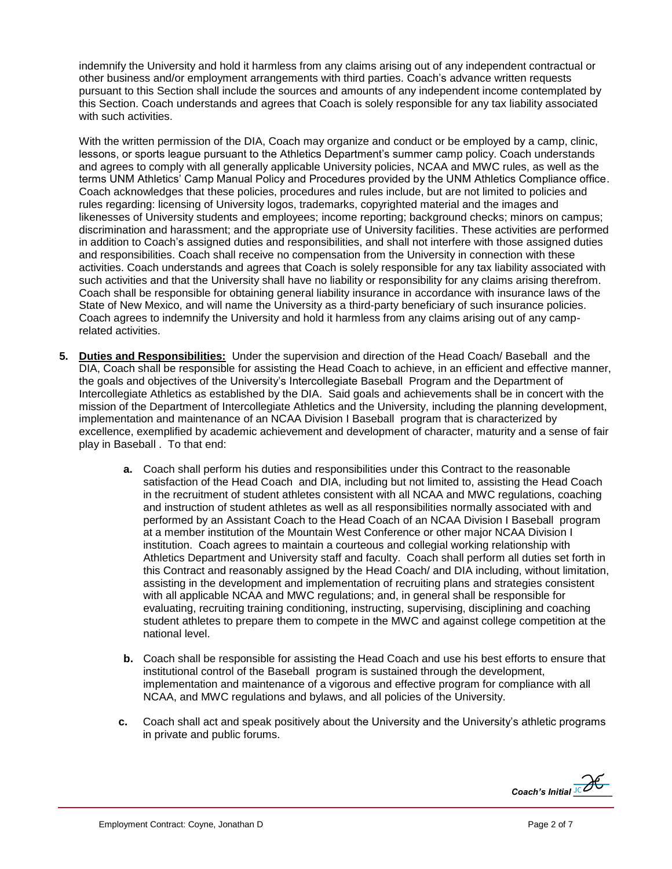indemnify the University and hold it harmless from any claims arising out of any independent contractual or other business and/or employment arrangements with third parties. Coach's advance written requests pursuant to this Section shall include the sources and amounts of any independent income contemplated by this Section. Coach understands and agrees that Coach is solely responsible for any tax liability associated with such activities.

With the written permission of the DIA, Coach may organize and conduct or be employed by a camp, clinic, lessons, or sports league pursuant to the Athletics Department's summer camp policy. Coach understands and agrees to comply with all generally applicable University policies, NCAA and MWC rules, as well as the terms UNM Athletics' Camp Manual Policy and Procedures provided by the UNM Athletics Compliance office. Coach acknowledges that these policies, procedures and rules include, but are not limited to policies and rules regarding: licensing of University logos, trademarks, copyrighted material and the images and likenesses of University students and employees; income reporting; background checks; minors on campus; discrimination and harassment; and the appropriate use of University facilities. These activities are performed in addition to Coach's assigned duties and responsibilities, and shall not interfere with those assigned duties and responsibilities. Coach shall receive no compensation from the University in connection with these activities. Coach understands and agrees that Coach is solely responsible for any tax liability associated with such activities and that the University shall have no liability or responsibility for any claims arising therefrom. Coach shall be responsible for obtaining general liability insurance in accordance with insurance laws of the State of New Mexico, and will name the University as a third-party beneficiary of such insurance policies. Coach agrees to indemnify the University and hold it harmless from any claims arising out of any camprelated activities.

- **5. Duties and Responsibilities:** Under the supervision and direction of the Head Coach/ Baseball and the DIA, Coach shall be responsible for assisting the Head Coach to achieve, in an efficient and effective manner, the goals and objectives of the University's Intercollegiate Baseball Program and the Department of Intercollegiate Athletics as established by the DIA. Said goals and achievements shall be in concert with the mission of the Department of Intercollegiate Athletics and the University, including the planning development, implementation and maintenance of an NCAA Division I Baseball program that is characterized by excellence, exemplified by academic achievement and development of character, maturity and a sense of fair play in Baseball . To that end:
	- **a.** Coach shall perform his duties and responsibilities under this Contract to the reasonable satisfaction of the Head Coach and DIA, including but not limited to, assisting the Head Coach in the recruitment of student athletes consistent with all NCAA and MWC regulations, coaching and instruction of student athletes as well as all responsibilities normally associated with and performed by an Assistant Coach to the Head Coach of an NCAA Division I Baseball program at a member institution of the Mountain West Conference or other major NCAA Division I institution. Coach agrees to maintain a courteous and collegial working relationship with Athletics Department and University staff and faculty. Coach shall perform all duties set forth in this Contract and reasonably assigned by the Head Coach/ and DIA including, without limitation, assisting in the development and implementation of recruiting plans and strategies consistent with all applicable NCAA and MWC regulations; and, in general shall be responsible for evaluating, recruiting training conditioning, instructing, supervising, disciplining and coaching student athletes to prepare them to compete in the MWC and against college competition at the national level.
	- **b.** Coach shall be responsible for assisting the Head Coach and use his best efforts to ensure that institutional control of the Baseball program is sustained through the development, implementation and maintenance of a vigorous and effective program for compliance with all NCAA, and MWC regulations and bylaws, and all policies of the University.
	- **c.** Coach shall act and speak positively about the University and the University's athletic programs in private and public forums.

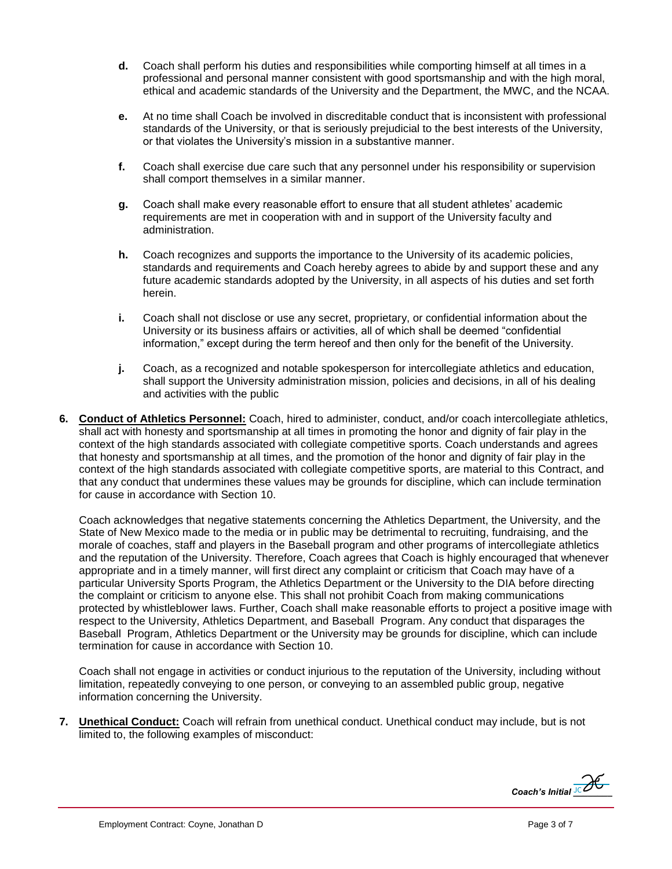- **d.** Coach shall perform his duties and responsibilities while comporting himself at all times in a professional and personal manner consistent with good sportsmanship and with the high moral, ethical and academic standards of the University and the Department, the MWC, and the NCAA.
- **e.** At no time shall Coach be involved in discreditable conduct that is inconsistent with professional standards of the University, or that is seriously prejudicial to the best interests of the University, or that violates the University's mission in a substantive manner.
- **f.** Coach shall exercise due care such that any personnel under his responsibility or supervision shall comport themselves in a similar manner.
- **g.** Coach shall make every reasonable effort to ensure that all student athletes' academic requirements are met in cooperation with and in support of the University faculty and administration.
- **h.** Coach recognizes and supports the importance to the University of its academic policies, standards and requirements and Coach hereby agrees to abide by and support these and any future academic standards adopted by the University, in all aspects of his duties and set forth herein.
- **i.** Coach shall not disclose or use any secret, proprietary, or confidential information about the University or its business affairs or activities, all of which shall be deemed "confidential information," except during the term hereof and then only for the benefit of the University.
- **j.** Coach, as a recognized and notable spokesperson for intercollegiate athletics and education, shall support the University administration mission, policies and decisions, in all of his dealing and activities with the public
- **6. Conduct of Athletics Personnel:** Coach, hired to administer, conduct, and/or coach intercollegiate athletics, shall act with honesty and sportsmanship at all times in promoting the honor and dignity of fair play in the context of the high standards associated with collegiate competitive sports. Coach understands and agrees that honesty and sportsmanship at all times, and the promotion of the honor and dignity of fair play in the context of the high standards associated with collegiate competitive sports, are material to this Contract, and that any conduct that undermines these values may be grounds for discipline, which can include termination for cause in accordance with Section 10.

Coach acknowledges that negative statements concerning the Athletics Department, the University, and the State of New Mexico made to the media or in public may be detrimental to recruiting, fundraising, and the morale of coaches, staff and players in the Baseball program and other programs of intercollegiate athletics and the reputation of the University. Therefore, Coach agrees that Coach is highly encouraged that whenever appropriate and in a timely manner, will first direct any complaint or criticism that Coach may have of a particular University Sports Program, the Athletics Department or the University to the DIA before directing the complaint or criticism to anyone else. This shall not prohibit Coach from making communications protected by whistleblower laws. Further, Coach shall make reasonable efforts to project a positive image with respect to the University, Athletics Department, and Baseball Program. Any conduct that disparages the Baseball Program, Athletics Department or the University may be grounds for discipline, which can include termination for cause in accordance with Section 10.

Coach shall not engage in activities or conduct injurious to the reputation of the University, including without limitation, repeatedly conveying to one person, or conveying to an assembled public group, negative information concerning the University.

**7. Unethical Conduct:** Coach will refrain from unethical conduct. Unethical conduct may include, but is not limited to, the following examples of misconduct:

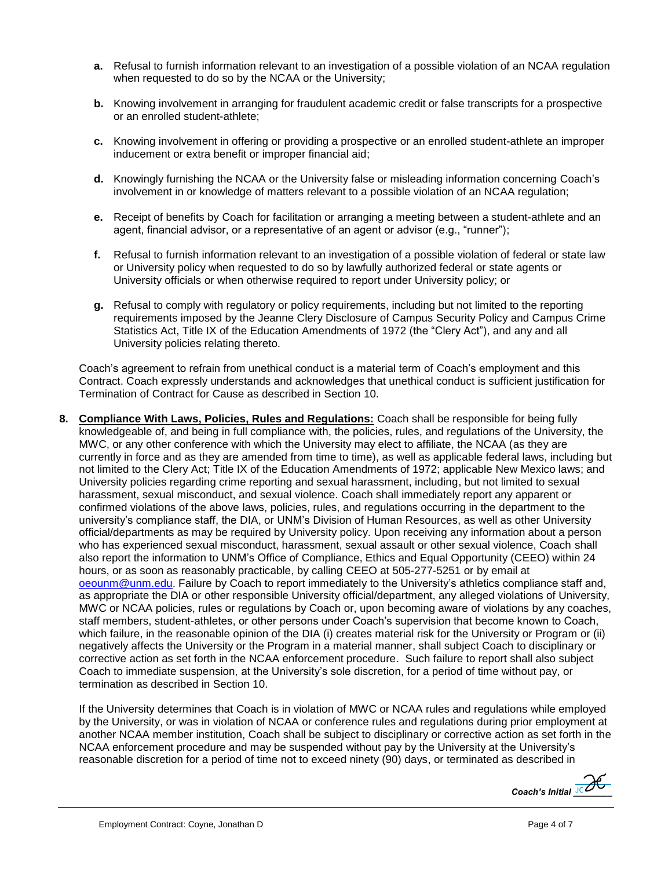- **a.** Refusal to furnish information relevant to an investigation of a possible violation of an NCAA regulation when requested to do so by the NCAA or the University;
- **b.** Knowing involvement in arranging for fraudulent academic credit or false transcripts for a prospective or an enrolled student-athlete;
- **c.** Knowing involvement in offering or providing a prospective or an enrolled student-athlete an improper inducement or extra benefit or improper financial aid;
- **d.** Knowingly furnishing the NCAA or the University false or misleading information concerning Coach's involvement in or knowledge of matters relevant to a possible violation of an NCAA regulation;
- **e.** Receipt of benefits by Coach for facilitation or arranging a meeting between a student-athlete and an agent, financial advisor, or a representative of an agent or advisor (e.g., "runner");
- **f.** Refusal to furnish information relevant to an investigation of a possible violation of federal or state law or University policy when requested to do so by lawfully authorized federal or state agents or University officials or when otherwise required to report under University policy; or
- **g.** Refusal to comply with regulatory or policy requirements, including but not limited to the reporting requirements imposed by the Jeanne Clery Disclosure of Campus Security Policy and Campus Crime Statistics Act, Title IX of the Education Amendments of 1972 (the "Clery Act"), and any and all University policies relating thereto.

Coach's agreement to refrain from unethical conduct is a material term of Coach's employment and this Contract. Coach expressly understands and acknowledges that unethical conduct is sufficient justification for Termination of Contract for Cause as described in Section 10.

**8. Compliance With Laws, Policies, Rules and Regulations:** Coach shall be responsible for being fully knowledgeable of, and being in full compliance with, the policies, rules, and regulations of the University, the MWC, or any other conference with which the University may elect to affiliate, the NCAA (as they are currently in force and as they are amended from time to time), as well as applicable federal laws, including but not limited to the Clery Act; Title IX of the Education Amendments of 1972; applicable New Mexico laws; and University policies regarding crime reporting and sexual harassment, including, but not limited to sexual harassment, sexual misconduct, and sexual violence. Coach shall immediately report any apparent or confirmed violations of the above laws, policies, rules, and regulations occurring in the department to the university's compliance staff, the DIA, or UNM's Division of Human Resources, as well as other University official/departments as may be required by University policy. Upon receiving any information about a person who has experienced sexual misconduct, harassment, sexual assault or other sexual violence, Coach shall also report the information to UNM's Office of Compliance, Ethics and Equal Opportunity (CEEO) within 24 hours, or as soon as reasonably practicable, by calling CEEO at 505-277-5251 or by email at [oeounm@unm.edu.](mailto:oeounm@unm.edu) Failure by Coach to report immediately to the University's athletics compliance staff and, as appropriate the DIA or other responsible University official/department, any alleged violations of University, MWC or NCAA policies, rules or regulations by Coach or, upon becoming aware of violations by any coaches, staff members, student-athletes, or other persons under Coach's supervision that become known to Coach, which failure, in the reasonable opinion of the DIA (i) creates material risk for the University or Program or (ii) negatively affects the University or the Program in a material manner, shall subject Coach to disciplinary or corrective action as set forth in the NCAA enforcement procedure. Such failure to report shall also subject Coach to immediate suspension, at the University's sole discretion, for a period of time without pay, or termination as described in Section 10.

If the University determines that Coach is in violation of MWC or NCAA rules and regulations while employed by the University, or was in violation of NCAA or conference rules and regulations during prior employment at another NCAA member institution, Coach shall be subject to disciplinary or corrective action as set forth in the NCAA enforcement procedure and may be suspended without pay by the University at the University's reasonable discretion for a period of time not to exceed ninety (90) days, or terminated as described in

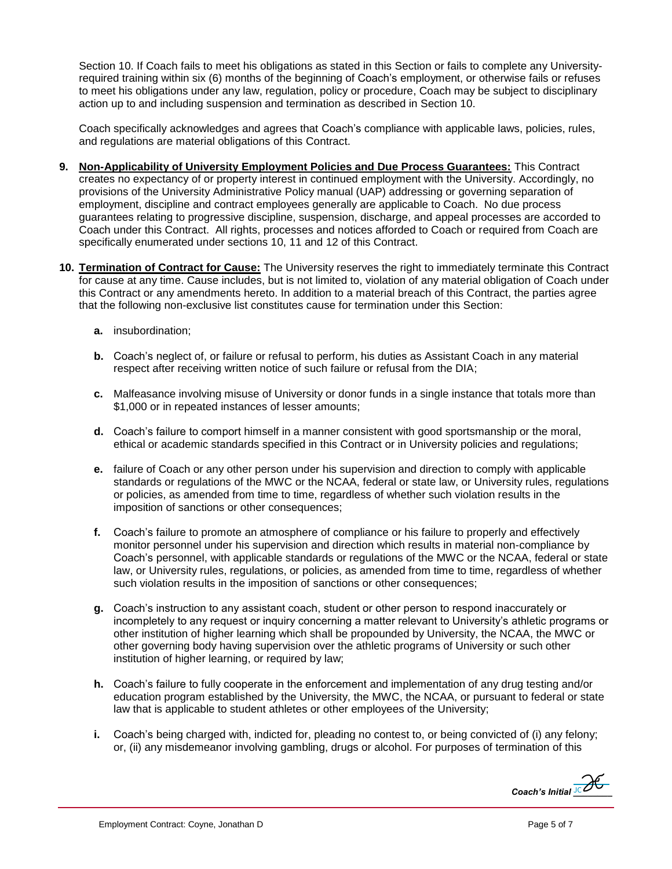Section 10. If Coach fails to meet his obligations as stated in this Section or fails to complete any Universityrequired training within six (6) months of the beginning of Coach's employment, or otherwise fails or refuses to meet his obligations under any law, regulation, policy or procedure, Coach may be subject to disciplinary action up to and including suspension and termination as described in Section 10.

Coach specifically acknowledges and agrees that Coach's compliance with applicable laws, policies, rules, and regulations are material obligations of this Contract.

- **9. Non-Applicability of University Employment Policies and Due Process Guarantees:** This Contract creates no expectancy of or property interest in continued employment with the University. Accordingly, no provisions of the University Administrative Policy manual (UAP) addressing or governing separation of employment, discipline and contract employees generally are applicable to Coach. No due process guarantees relating to progressive discipline, suspension, discharge, and appeal processes are accorded to Coach under this Contract. All rights, processes and notices afforded to Coach or required from Coach are specifically enumerated under sections 10, 11 and 12 of this Contract.
- **10. Termination of Contract for Cause:** The University reserves the right to immediately terminate this Contract for cause at any time. Cause includes, but is not limited to, violation of any material obligation of Coach under this Contract or any amendments hereto. In addition to a material breach of this Contract, the parties agree that the following non-exclusive list constitutes cause for termination under this Section:
	- **a.** insubordination;
	- **b.** Coach's neglect of, or failure or refusal to perform, his duties as Assistant Coach in any material respect after receiving written notice of such failure or refusal from the DIA;
	- **c.** Malfeasance involving misuse of University or donor funds in a single instance that totals more than \$1,000 or in repeated instances of lesser amounts;
	- **d.** Coach's failure to comport himself in a manner consistent with good sportsmanship or the moral, ethical or academic standards specified in this Contract or in University policies and regulations;
	- **e.** failure of Coach or any other person under his supervision and direction to comply with applicable standards or regulations of the MWC or the NCAA, federal or state law, or University rules, regulations or policies, as amended from time to time, regardless of whether such violation results in the imposition of sanctions or other consequences;
	- **f.** Coach's failure to promote an atmosphere of compliance or his failure to properly and effectively monitor personnel under his supervision and direction which results in material non-compliance by Coach's personnel, with applicable standards or regulations of the MWC or the NCAA, federal or state law, or University rules, regulations, or policies, as amended from time to time, regardless of whether such violation results in the imposition of sanctions or other consequences;
	- **g.** Coach's instruction to any assistant coach, student or other person to respond inaccurately or incompletely to any request or inquiry concerning a matter relevant to University's athletic programs or other institution of higher learning which shall be propounded by University, the NCAA, the MWC or other governing body having supervision over the athletic programs of University or such other institution of higher learning, or required by law;
	- **h.** Coach's failure to fully cooperate in the enforcement and implementation of any drug testing and/or education program established by the University, the MWC, the NCAA, or pursuant to federal or state law that is applicable to student athletes or other employees of the University;
	- **i.** Coach's being charged with, indicted for, pleading no contest to, or being convicted of (i) any felony; or, (ii) any misdemeanor involving gambling, drugs or alcohol. For purposes of termination of this

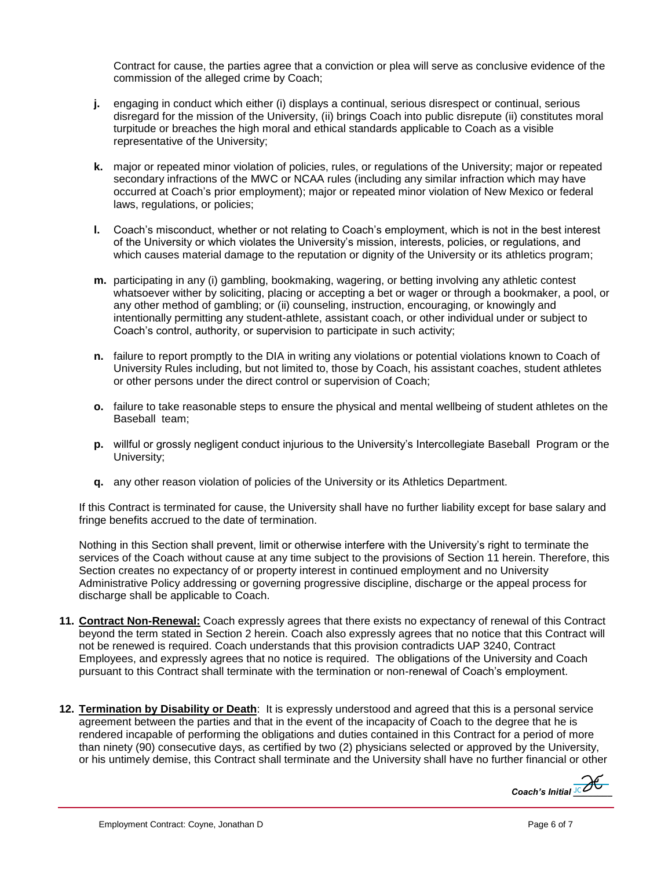Contract for cause, the parties agree that a conviction or plea will serve as conclusive evidence of the commission of the alleged crime by Coach;

- **j.** engaging in conduct which either (i) displays a continual, serious disrespect or continual, serious disregard for the mission of the University, (ii) brings Coach into public disrepute (ii) constitutes moral turpitude or breaches the high moral and ethical standards applicable to Coach as a visible representative of the University;
- **k.** major or repeated minor violation of policies, rules, or regulations of the University; major or repeated secondary infractions of the MWC or NCAA rules (including any similar infraction which may have occurred at Coach's prior employment); major or repeated minor violation of New Mexico or federal laws, regulations, or policies;
- **l.** Coach's misconduct, whether or not relating to Coach's employment, which is not in the best interest of the University or which violates the University's mission, interests, policies, or regulations, and which causes material damage to the reputation or dignity of the University or its athletics program;
- **m.** participating in any (i) gambling, bookmaking, wagering, or betting involving any athletic contest whatsoever wither by soliciting, placing or accepting a bet or wager or through a bookmaker, a pool, or any other method of gambling; or (ii) counseling, instruction, encouraging, or knowingly and intentionally permitting any student-athlete, assistant coach, or other individual under or subject to Coach's control, authority, or supervision to participate in such activity;
- **n.** failure to report promptly to the DIA in writing any violations or potential violations known to Coach of University Rules including, but not limited to, those by Coach, his assistant coaches, student athletes or other persons under the direct control or supervision of Coach;
- **o.** failure to take reasonable steps to ensure the physical and mental wellbeing of student athletes on the Baseball team;
- **p.** willful or grossly negligent conduct injurious to the University's Intercollegiate Baseball Program or the University;
- **q.** any other reason violation of policies of the University or its Athletics Department.

If this Contract is terminated for cause, the University shall have no further liability except for base salary and fringe benefits accrued to the date of termination.

Nothing in this Section shall prevent, limit or otherwise interfere with the University's right to terminate the services of the Coach without cause at any time subject to the provisions of Section 11 herein. Therefore, this Section creates no expectancy of or property interest in continued employment and no University Administrative Policy addressing or governing progressive discipline, discharge or the appeal process for discharge shall be applicable to Coach.

- **11. Contract Non-Renewal:** Coach expressly agrees that there exists no expectancy of renewal of this Contract beyond the term stated in Section 2 herein. Coach also expressly agrees that no notice that this Contract will not be renewed is required. Coach understands that this provision contradicts UAP 3240, Contract Employees, and expressly agrees that no notice is required. The obligations of the University and Coach pursuant to this Contract shall terminate with the termination or non-renewal of Coach's employment.
- **12. Termination by Disability or Death**: It is expressly understood and agreed that this is a personal service agreement between the parties and that in the event of the incapacity of Coach to the degree that he is rendered incapable of performing the obligations and duties contained in this Contract for a period of more than ninety (90) consecutive days, as certified by two (2) physicians selected or approved by the University, or his untimely demise, this Contract shall terminate and the University shall have no further financial or other